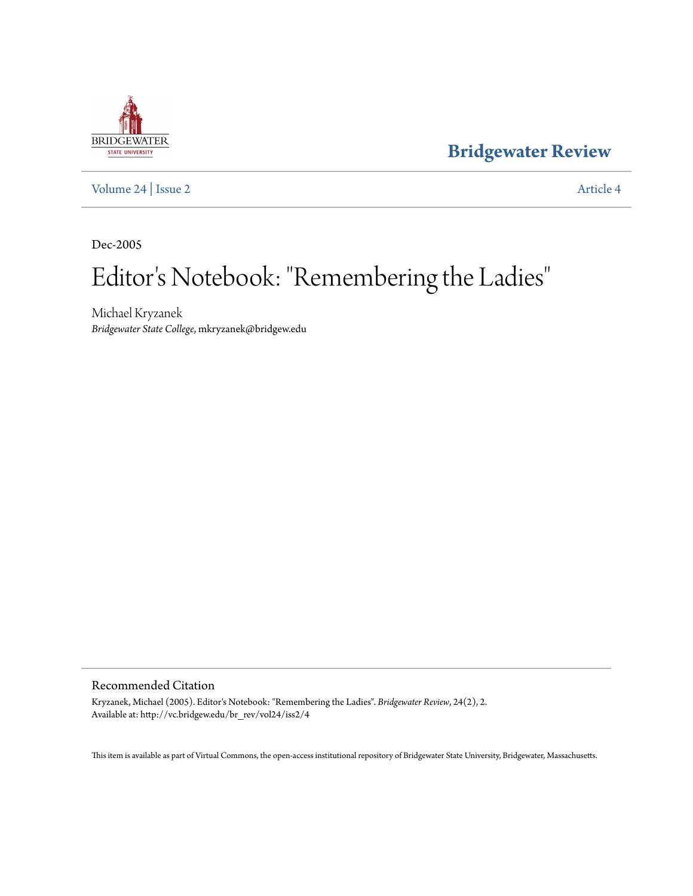## **BRIDGEWATER** STATE UNIVERSITY

**[Bridgewater Review](http://vc.bridgew.edu/br_rev)**

[Volume 24](http://vc.bridgew.edu/br_rev/vol24) | [Issue 2](http://vc.bridgew.edu/br_rev/vol24/iss2) [Article 4](http://vc.bridgew.edu/br_rev/vol24/iss2/4)

Dec-2005

# Editor 's Notebook: "Remembering the Ladies"

Michael Kryzanek *Bridgewater State College*, mkryzanek@bridgew.edu

#### Recommended Citation

Kryzanek, Michael (2005). Editor's Notebook: "Remembering the Ladies". *Bridgewater Review*, 24(2), 2. Available at: http://vc.bridgew.edu/br\_rev/vol24/iss2/4

This item is available as part of Virtual Commons, the open-access institutional repository of Bridgewater State University, Bridgewater, Massachusetts.